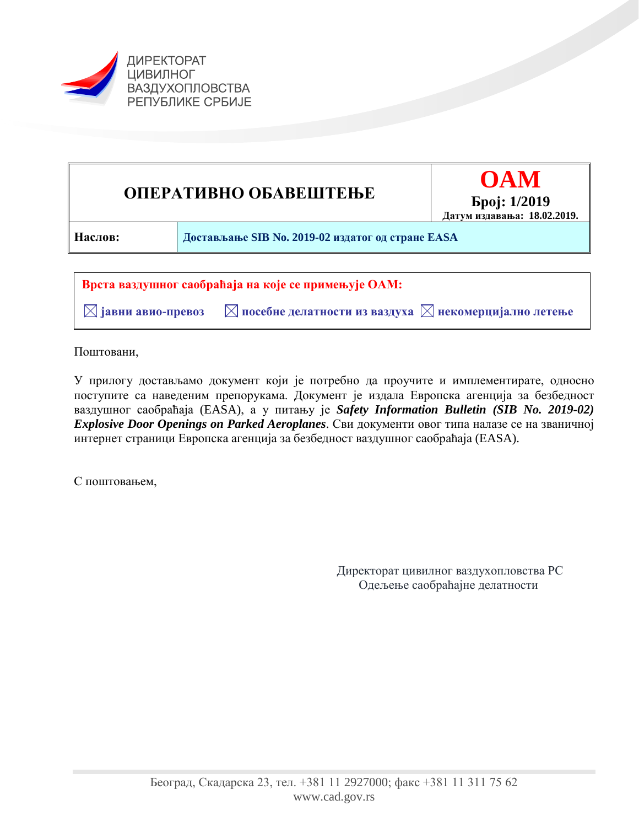



 $\boxtimes$  јавни авио-превоз  $\blacksquare$  посебне делатности из ваздуха  $\boxtimes$  некомерцијално летење

Поштовани,

У прилогу достављамо документ који је потребно да проучите и имплементирате, односно поступите са наведеним препорукама. Документ је издала Европска агенција за безбедност ваздушног саобраћаја (EASA), а у питању је *Safety Information Bulletin (SIB No. 2019-02) Explosive Door Openings on Parked Aeroplanes*. Сви документи овог типа налазе се на званичној интернет страници Европска агенција за безбедност ваздушног саобраћаја (EASA).

С поштовањем,

Директорат цивилног ваздухопловства РС Одељење саобраћајне делатности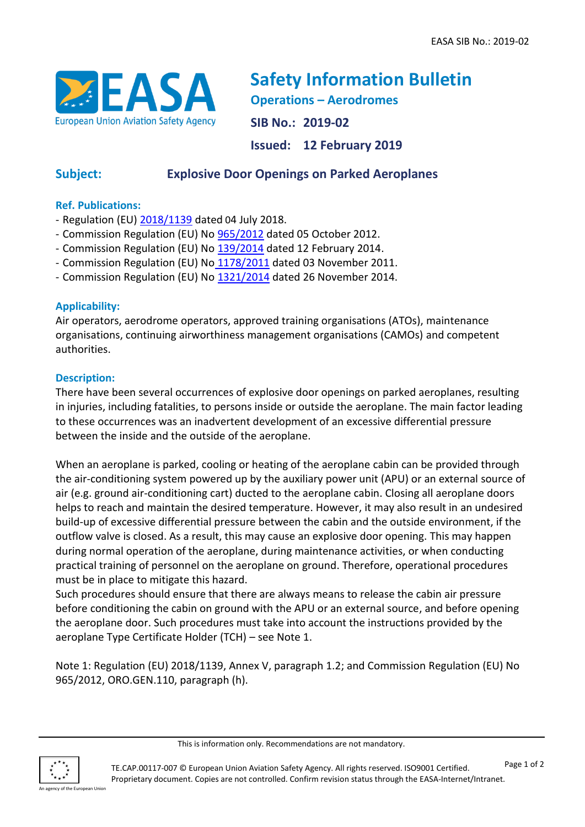

**Safety Information Bulletin Operations – Aerodromes SIB No.: 2019-02 Issued: 12 February 2019**

# **Subject: Explosive Door Openings on Parked Aeroplanes**

## **Ref. Publications:**

- Regulation (EU)  $\frac{2018}{1139}$  dated 04 July 2018.
- Commission Regulation (EU) No [965/2012](https://eur-lex.europa.eu/legal-content/EN/TXT/?qid=1499960916767&uri=CELEX:02012R0965-20170322) dated 05 October 2012.
- Commission Regulation (EU) No [139/2014](https://eur-lex.europa.eu/legal-content/EN/TXT/?uri=CELEX%3A32014R0139) dated 12 February 2014.
- Commission Regulation (EU) No [1178/2011](https://eur-lex.europa.eu/legal-content/EN/TXT/?qid=1549885076654&uri=CELEX:32011R1178) dated 03 November 2011.
- Commission Regulation (EU) No [1321/2014](https://eur-lex.europa.eu/legal-content/EN/TXT/?qid=1549885135043&uri=CELEX:32014R1321) dated 26 November 2014.

## **Applicability:**

Air operators, aerodrome operators, approved training organisations (ATOs), maintenance organisations, continuing airworthiness management organisations (CAMOs) and competent authorities.

### **Description:**

There have been several occurrences of explosive door openings on parked aeroplanes, resulting in injuries, including fatalities, to persons inside or outside the aeroplane. The main factor leading to these occurrences was an inadvertent development of an excessive differential pressure between the inside and the outside of the aeroplane.

When an aeroplane is parked, cooling or heating of the aeroplane cabin can be provided through the air-conditioning system powered up by the auxiliary power unit (APU) or an external source of air (e.g. ground air-conditioning cart) ducted to the aeroplane cabin. Closing all aeroplane doors helps to reach and maintain the desired temperature. However, it may also result in an undesired build-up of excessive differential pressure between the cabin and the outside environment, if the outflow valve is closed. As a result, this may cause an explosive door opening. This may happen during normal operation of the aeroplane, during maintenance activities, or when conducting practical training of personnel on the aeroplane on ground. Therefore, operational procedures must be in place to mitigate this hazard.

Such procedures should ensure that there are always means to release the cabin air pressure before conditioning the cabin on ground with the APU or an external source, and before opening the aeroplane door. Such procedures must take into account the instructions provided by the aeroplane Type Certificate Holder (TCH) – see Note 1.

Note 1: Regulation (EU) 2018/1139, Annex V, paragraph 1.2; and Commission Regulation (EU) No 965/2012, ORO.GEN.110, paragraph (h).

agency of the European Union

This is information only. Recommendations are not mandatory.